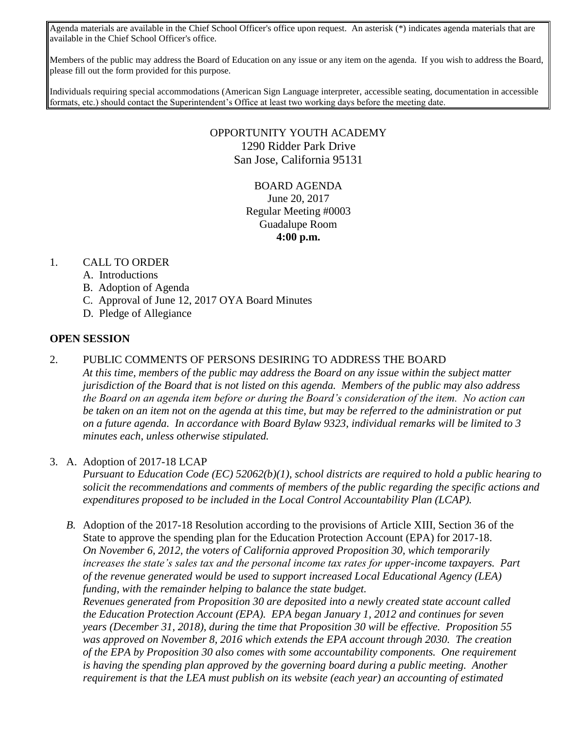Agenda materials are available in the Chief School Officer's office upon request. An asterisk (\*) indicates agenda materials that are available in the Chief School Officer's office.

Members of the public may address the Board of Education on any issue or any item on the agenda. If you wish to address the Board, please fill out the form provided for this purpose.

Individuals requiring special accommodations (American Sign Language interpreter, accessible seating, documentation in accessible formats, etc.) should contact the Superintendent's Office at least two working days before the meeting date.

### OPPORTUNITY YOUTH ACADEMY 1290 Ridder Park Drive San Jose, California 95131

# BOARD AGENDA June 20, 2017 Regular Meeting #0003 Guadalupe Room **4:00 p.m.**

#### 1. CALL TO ORDER

- A. Introductions
- B. Adoption of Agenda
- C. Approval of June 12, 2017 OYA Board Minutes
- D. Pledge of Allegiance

#### **OPEN SESSION**

2. PUBLIC COMMENTS OF PERSONS DESIRING TO ADDRESS THE BOARD

*At this time, members of the public may address the Board on any issue within the subject matter jurisdiction of the Board that is not listed on this agenda. Members of the public may also address the Board on an agenda item before or during the Board's consideration of the item. No action can be taken on an item not on the agenda at this time, but may be referred to the administration or put on a future agenda. In accordance with Board Bylaw 9323, individual remarks will be limited to 3 minutes each, unless otherwise stipulated.*

3. A. Adoption of 2017-18 LCAP

*Pursuant to Education Code (EC) 52062(b)(1), school districts are required to hold a public hearing to solicit the recommendations and comments of members of the public regarding the specific actions and expenditures proposed to be included in the Local Control Accountability Plan (LCAP).* 

*B.* Adoption of the 2017-18 Resolution according to the provisions of Article XIII, Section 36 of the State to approve the spending plan for the Education Protection Account (EPA) for 2017-18. *On November 6, 2012, the voters of California approved Proposition 30, which temporarily increases the state's sales tax and the personal income tax rates for upper-income taxpayers. Part of the revenue generated would be used to support increased Local Educational Agency (LEA) funding, with the remainder helping to balance the state budget. Revenues generated from Proposition 30 are deposited into a newly created state account called the Education Protection Account (EPA). EPA began January 1, 2012 and continues for seven years (December 31, 2018), during the time that Proposition 30 will be effective. Proposition 55 was approved on November 8, 2016 which extends the EPA account through 2030. The creation of the EPA by Proposition 30 also comes with some accountability components. One requirement is having the spending plan approved by the governing board during a public meeting. Another requirement is that the LEA must publish on its website (each year) an accounting of estimated*